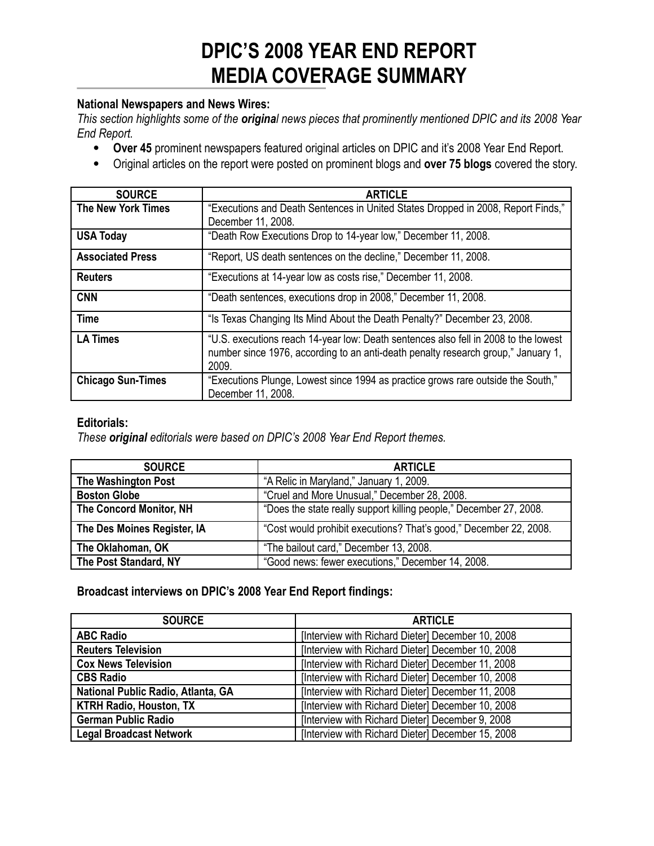# **DPIC'S 2008 YEAR END REPORT MEDIA COVERAGE SUMMARY**

#### **National Newspapers and News Wires:**

This section highlights some of the original news pieces that prominently mentioned DPIC and its 2008 Year *End Report.*

- **Over 45** prominent newspapers featured original articles on DPIC and it's 2008 Year End Report.
- Original articles on the report were posted on prominent blogs and **over 75 blogs** covered the story.

| <b>SOURCE</b>             | <b>ARTICLE</b>                                                                                                                                                                    |
|---------------------------|-----------------------------------------------------------------------------------------------------------------------------------------------------------------------------------|
| <b>The New York Times</b> | "Executions and Death Sentences in United States Dropped in 2008, Report Finds,"<br>December 11, 2008.                                                                            |
| <b>USA Today</b>          | "Death Row Executions Drop to 14-year low," December 11, 2008.                                                                                                                    |
| <b>Associated Press</b>   | "Report, US death sentences on the decline," December 11, 2008.                                                                                                                   |
| <b>Reuters</b>            | "Executions at 14-year low as costs rise," December 11, 2008.                                                                                                                     |
| <b>CNN</b>                | "Death sentences, executions drop in 2008," December 11, 2008.                                                                                                                    |
| <b>Time</b>               | "Is Texas Changing Its Mind About the Death Penalty?" December 23, 2008.                                                                                                          |
| <b>LA Times</b>           | "U.S. executions reach 14-year low: Death sentences also fell in 2008 to the lowest<br>number since 1976, according to an anti-death penalty research group," January 1,<br>2009. |
| <b>Chicago Sun-Times</b>  | "Executions Plunge, Lowest since 1994 as practice grows rare outside the South,"<br>December 11, 2008.                                                                            |

#### **Editorials:**

*These original editorials were based on DPIC's 2008 Year End Report themes.*

| <b>SOURCE</b>                  | <b>ARTICLE</b>                                                     |
|--------------------------------|--------------------------------------------------------------------|
| The Washington Post            | "A Relic in Maryland," January 1, 2009.                            |
| <b>Boston Globe</b>            | "Cruel and More Unusual," December 28, 2008.                       |
| <b>The Concord Monitor, NH</b> | "Does the state really support killing people," December 27, 2008. |
| The Des Moines Register, IA    | "Cost would prohibit executions? That's good," December 22, 2008.  |
| The Oklahoman, OK              | "The bailout card," December 13, 2008.                             |
| The Post Standard, NY          | "Good news: fewer executions," December 14, 2008.                  |

#### **Broadcast interviews on DPIC's 2008 Year End Report findings:**

| <b>SOURCE</b>                      | <b>ARTICLE</b>                                    |
|------------------------------------|---------------------------------------------------|
| <b>ABC Radio</b>                   | [Interview with Richard Dieter] December 10, 2008 |
| <b>Reuters Television</b>          | [Interview with Richard Dieter] December 10, 2008 |
| <b>Cox News Television</b>         | [Interview with Richard Dieter] December 11, 2008 |
| <b>CBS Radio</b>                   | [Interview with Richard Dieter] December 10, 2008 |
| National Public Radio, Atlanta, GA | [Interview with Richard Dieter] December 11, 2008 |
| <b>KTRH Radio, Houston, TX</b>     | [Interview with Richard Dieter] December 10, 2008 |
| <b>German Public Radio</b>         | [Interview with Richard Dieter] December 9, 2008  |
| <b>Legal Broadcast Network</b>     | [Interview with Richard Dieter] December 15, 2008 |